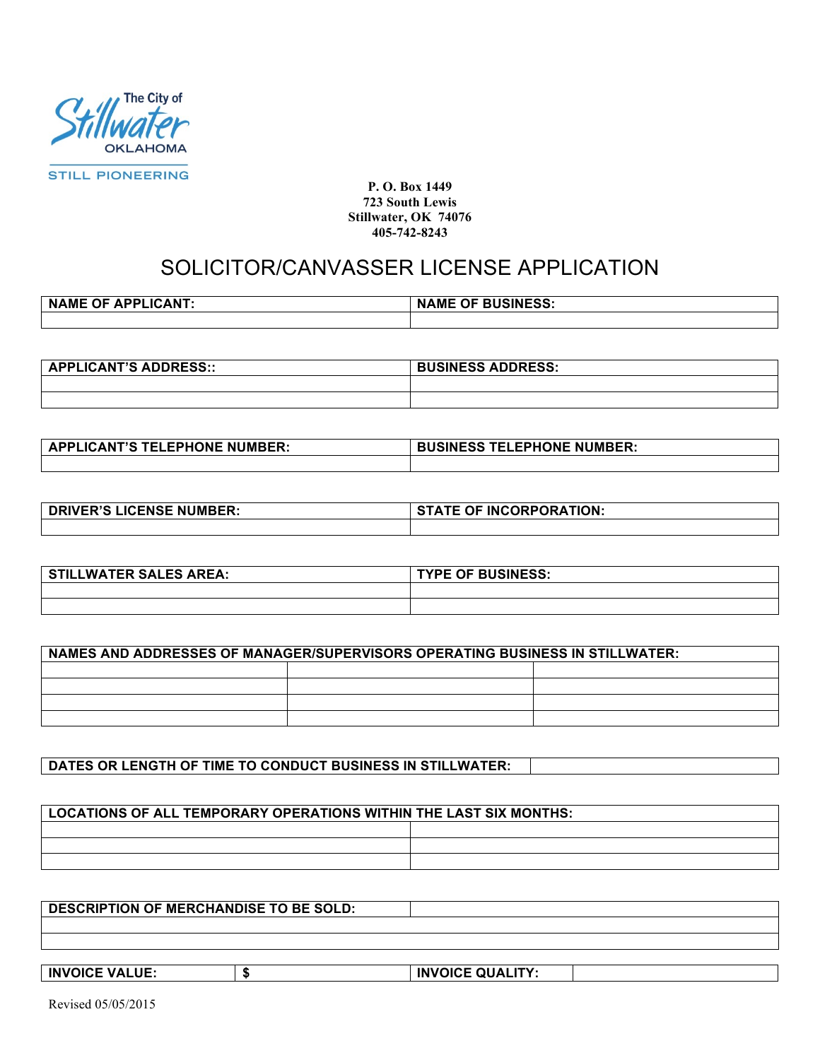

**P. O. Box 1449 723 South Lewis Stillwater, OK 74076 405-742-8243**

## SOLICITOR/CANVASSER LICENSE APPLICATION

| <b>OF</b><br><b>APPLICANT.</b><br><b>NAME</b> | <b>OF BUSINESS:</b><br><b>NAME</b> |
|-----------------------------------------------|------------------------------------|
|                                               |                                    |

| <b>APPLICANT'S ADDRESS::</b> | <b>BUSINESS ADDRESS:</b> |
|------------------------------|--------------------------|
|                              |                          |
|                              |                          |

| <b>APPLICANT'S TELEPHONE NUMBER:</b> | <b>BUSINESS TELEPHONE NUMBER:</b> |
|--------------------------------------|-----------------------------------|
|                                      |                                   |

| <b>DRIVER'S LICENSE NUMBER:</b> | <b>STATE OF INCORPORATION:</b> |
|---------------------------------|--------------------------------|
|                                 |                                |

| LLWATER SALES AREA:<br>C. | <b>TYPE OF BUSINESS:</b> |
|---------------------------|--------------------------|
|                           |                          |
|                           |                          |

| <b>NAMES AND ADDRESSES OF MANAGER/SUPERVISORS OPERATING BUSINESS IN STILLWATER:</b> |  |  |
|-------------------------------------------------------------------------------------|--|--|
|                                                                                     |  |  |
|                                                                                     |  |  |
|                                                                                     |  |  |
|                                                                                     |  |  |

**DATES OR LENGTH OF TIME TO CONDUCT BUSINESS IN STILLWATER:**

| LOCATIONS OF ALL TEMPORARY OPERATIONS WITHIN THE LAST SIX MONTHS: |  |
|-------------------------------------------------------------------|--|
|                                                                   |  |
|                                                                   |  |
|                                                                   |  |

**DESCRIPTION OF MERCHANDISE TO BE SOLD:**

**INVOICE VALUE: \$ INVOICE QUALITY:**

Revised 05/05/2015